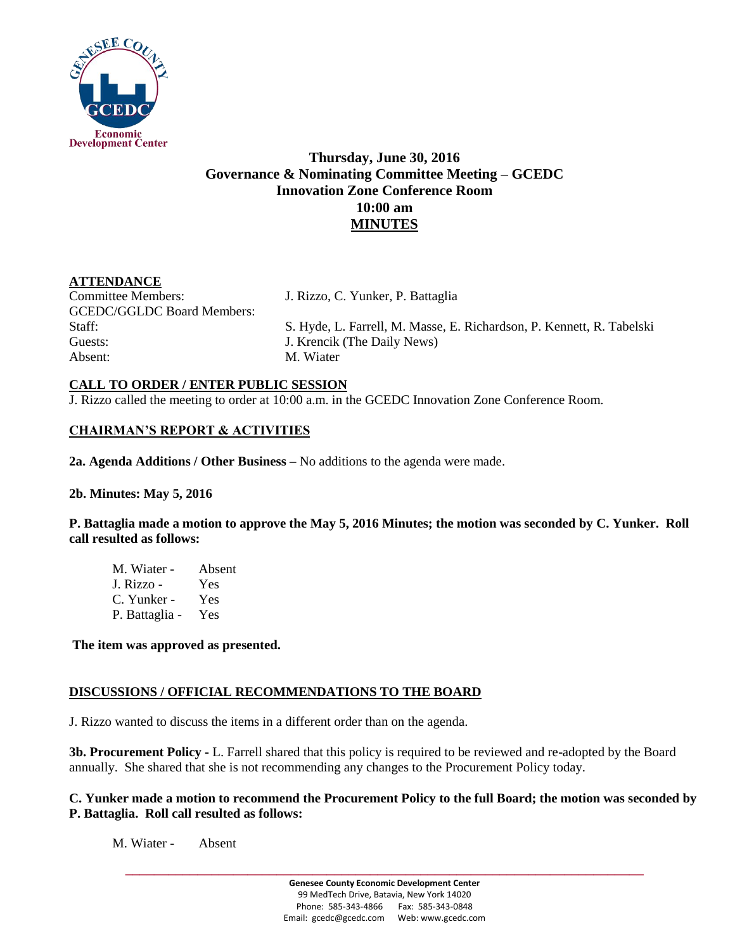

# **Thursday, June 30, 2016 Governance & Nominating Committee Meeting – GCEDC Innovation Zone Conference Room 10:00 am MINUTES**

## **ATTENDANCE**

Committee Members: J. Rizzo, C. Yunker, P. Battaglia GCEDC/GGLDC Board Members: Guests: **J. Krencik (The Daily News)** Absent: M. Wiater

Staff: S. Hyde, L. Farrell, M. Masse, E. Richardson, P. Kennett, R. Tabelski

#### **CALL TO ORDER / ENTER PUBLIC SESSION**

J. Rizzo called the meeting to order at 10:00 a.m. in the GCEDC Innovation Zone Conference Room.

## **CHAIRMAN'S REPORT & ACTIVITIES**

**2a. Agenda Additions / Other Business –** No additions to the agenda were made.

#### **2b. Minutes: May 5, 2016**

**P. Battaglia made a motion to approve the May 5, 2016 Minutes; the motion was seconded by C. Yunker. Roll call resulted as follows:**

M. Wiater - Absent J. Rizzo - Yes C. Yunker - Yes P. Battaglia - Yes

**The item was approved as presented.** 

#### **DISCUSSIONS / OFFICIAL RECOMMENDATIONS TO THE BOARD**

J. Rizzo wanted to discuss the items in a different order than on the agenda.

**3b. Procurement Policy -** L. Farrell shared that this policy is required to be reviewed and re-adopted by the Board annually. She shared that she is not recommending any changes to the Procurement Policy today.

#### **C. Yunker made a motion to recommend the Procurement Policy to the full Board; the motion was seconded by P. Battaglia. Roll call resulted as follows:**

M. Wiater - Absent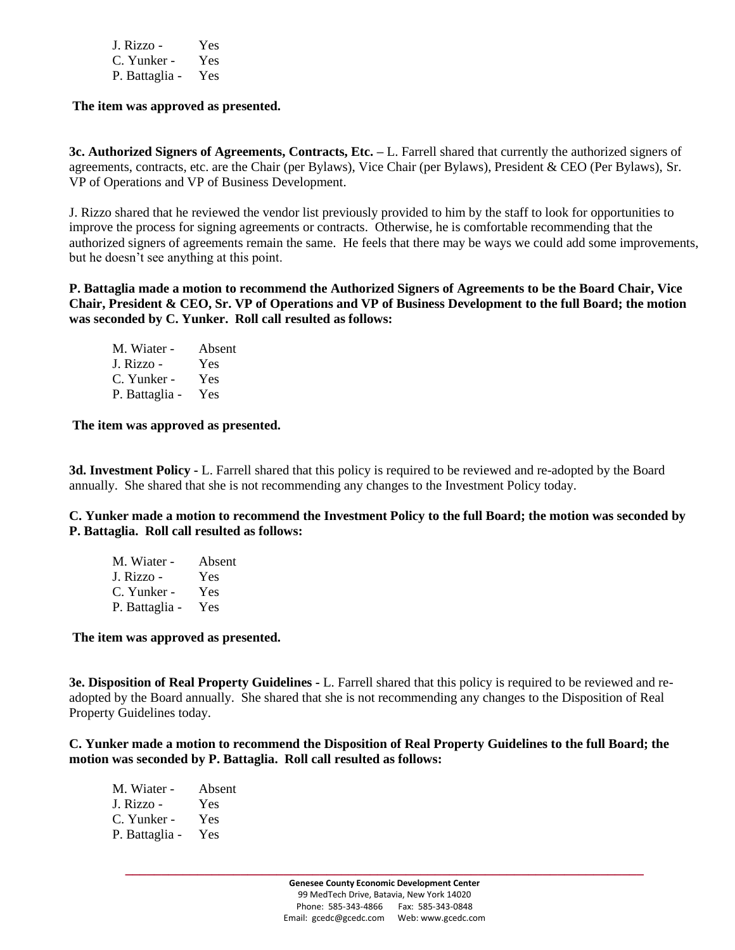| J. Rizzo -     | Yes |
|----------------|-----|
| C. Yunker -    | Yes |
| P. Battaglia - | Yes |

**The item was approved as presented.** 

**3c. Authorized Signers of Agreements, Contracts, Etc. –** L. Farrell shared that currently the authorized signers of agreements, contracts, etc. are the Chair (per Bylaws), Vice Chair (per Bylaws), President & CEO (Per Bylaws), Sr. VP of Operations and VP of Business Development.

J. Rizzo shared that he reviewed the vendor list previously provided to him by the staff to look for opportunities to improve the process for signing agreements or contracts. Otherwise, he is comfortable recommending that the authorized signers of agreements remain the same. He feels that there may be ways we could add some improvements, but he doesn't see anything at this point.

**P. Battaglia made a motion to recommend the Authorized Signers of Agreements to be the Board Chair, Vice Chair, President & CEO, Sr. VP of Operations and VP of Business Development to the full Board; the motion was seconded by C. Yunker. Roll call resulted as follows:**

M. Wiater - Absent J. Rizzo - Yes C. Yunker - Yes P. Battaglia - Yes

**The item was approved as presented.** 

**3d. Investment Policy -** L. Farrell shared that this policy is required to be reviewed and re-adopted by the Board annually. She shared that she is not recommending any changes to the Investment Policy today.

**C. Yunker made a motion to recommend the Investment Policy to the full Board; the motion was seconded by P. Battaglia. Roll call resulted as follows:**

| M. Wiater -    | Absent |
|----------------|--------|
| J. Rizzo -     | Yes    |
| C. Yunker -    | Yes    |
| P. Battaglia - | Yes    |

**The item was approved as presented.** 

**3e. Disposition of Real Property Guidelines -** L. Farrell shared that this policy is required to be reviewed and readopted by the Board annually. She shared that she is not recommending any changes to the Disposition of Real Property Guidelines today.

**C. Yunker made a motion to recommend the Disposition of Real Property Guidelines to the full Board; the motion was seconded by P. Battaglia. Roll call resulted as follows:**

| M. Wiater -    | Absent |
|----------------|--------|
| J. Rizzo -     | Yes    |
| C. Yunker -    | Yes    |
| P. Battaglia - | Yes    |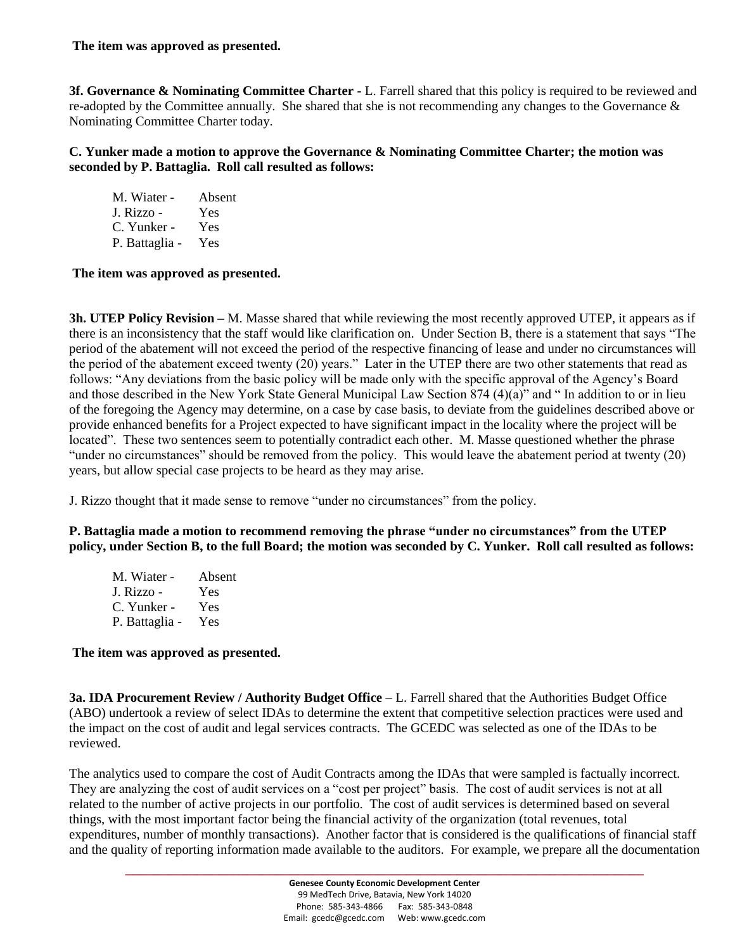#### **The item was approved as presented.**

**3f. Governance & Nominating Committee Charter -** L. Farrell shared that this policy is required to be reviewed and re-adopted by the Committee annually. She shared that she is not recommending any changes to the Governance & Nominating Committee Charter today.

**C. Yunker made a motion to approve the Governance & Nominating Committee Charter; the motion was seconded by P. Battaglia. Roll call resulted as follows:**

| M. Wiater -    | Absent |
|----------------|--------|
| J. Rizzo -     | Yes    |
| C. Yunker -    | Yes    |
| P. Battaglia - | Yes    |

**The item was approved as presented.** 

**3h. UTEP Policy Revision –** M. Masse shared that while reviewing the most recently approved UTEP, it appears as if there is an inconsistency that the staff would like clarification on. Under Section B, there is a statement that says "The period of the abatement will not exceed the period of the respective financing of lease and under no circumstances will the period of the abatement exceed twenty (20) years." Later in the UTEP there are two other statements that read as follows: "Any deviations from the basic policy will be made only with the specific approval of the Agency's Board and those described in the New York State General Municipal Law Section 874 (4)(a)" and " In addition to or in lieu of the foregoing the Agency may determine, on a case by case basis, to deviate from the guidelines described above or provide enhanced benefits for a Project expected to have significant impact in the locality where the project will be located". These two sentences seem to potentially contradict each other. M. Masse questioned whether the phrase "under no circumstances" should be removed from the policy. This would leave the abatement period at twenty (20) years, but allow special case projects to be heard as they may arise.

J. Rizzo thought that it made sense to remove "under no circumstances" from the policy.

**P. Battaglia made a motion to recommend removing the phrase "under no circumstances" from the UTEP policy, under Section B, to the full Board; the motion was seconded by C. Yunker. Roll call resulted as follows:**

| M. Wiater -    | Absent |
|----------------|--------|
| J. Rizzo -     | Yes    |
| C. Yunker -    | Yes    |
| P. Battaglia - | Yes    |

#### **The item was approved as presented.**

**3a. IDA Procurement Review / Authority Budget Office –** L. Farrell shared that the Authorities Budget Office (ABO) undertook a review of select IDAs to determine the extent that competitive selection practices were used and the impact on the cost of audit and legal services contracts. The GCEDC was selected as one of the IDAs to be reviewed.

The analytics used to compare the cost of Audit Contracts among the IDAs that were sampled is factually incorrect. They are analyzing the cost of audit services on a "cost per project" basis. The cost of audit services is not at all related to the number of active projects in our portfolio. The cost of audit services is determined based on several things, with the most important factor being the financial activity of the organization (total revenues, total expenditures, number of monthly transactions). Another factor that is considered is the qualifications of financial staff and the quality of reporting information made available to the auditors. For example, we prepare all the documentation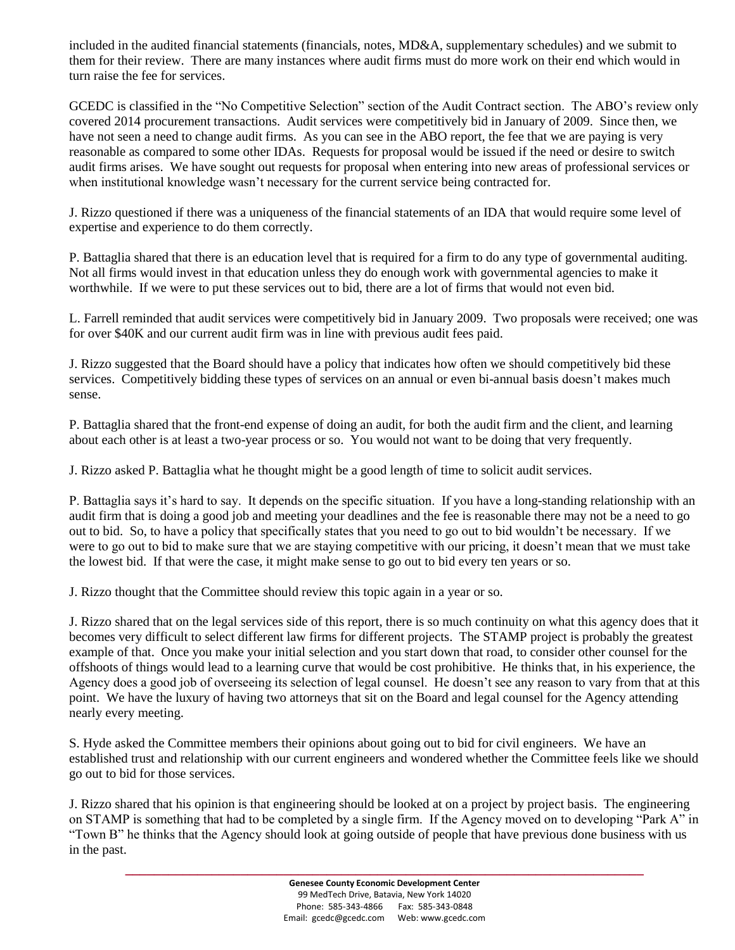included in the audited financial statements (financials, notes, MD&A, supplementary schedules) and we submit to them for their review. There are many instances where audit firms must do more work on their end which would in turn raise the fee for services.

GCEDC is classified in the "No Competitive Selection" section of the Audit Contract section. The ABO's review only covered 2014 procurement transactions. Audit services were competitively bid in January of 2009. Since then, we have not seen a need to change audit firms. As you can see in the ABO report, the fee that we are paying is very reasonable as compared to some other IDAs. Requests for proposal would be issued if the need or desire to switch audit firms arises. We have sought out requests for proposal when entering into new areas of professional services or when institutional knowledge wasn't necessary for the current service being contracted for.

J. Rizzo questioned if there was a uniqueness of the financial statements of an IDA that would require some level of expertise and experience to do them correctly.

P. Battaglia shared that there is an education level that is required for a firm to do any type of governmental auditing. Not all firms would invest in that education unless they do enough work with governmental agencies to make it worthwhile. If we were to put these services out to bid, there are a lot of firms that would not even bid.

L. Farrell reminded that audit services were competitively bid in January 2009. Two proposals were received; one was for over \$40K and our current audit firm was in line with previous audit fees paid.

J. Rizzo suggested that the Board should have a policy that indicates how often we should competitively bid these services. Competitively bidding these types of services on an annual or even bi-annual basis doesn't makes much sense.

P. Battaglia shared that the front-end expense of doing an audit, for both the audit firm and the client, and learning about each other is at least a two-year process or so. You would not want to be doing that very frequently.

J. Rizzo asked P. Battaglia what he thought might be a good length of time to solicit audit services.

P. Battaglia says it's hard to say. It depends on the specific situation. If you have a long-standing relationship with an audit firm that is doing a good job and meeting your deadlines and the fee is reasonable there may not be a need to go out to bid. So, to have a policy that specifically states that you need to go out to bid wouldn't be necessary. If we were to go out to bid to make sure that we are staying competitive with our pricing, it doesn't mean that we must take the lowest bid. If that were the case, it might make sense to go out to bid every ten years or so.

J. Rizzo thought that the Committee should review this topic again in a year or so.

J. Rizzo shared that on the legal services side of this report, there is so much continuity on what this agency does that it becomes very difficult to select different law firms for different projects. The STAMP project is probably the greatest example of that. Once you make your initial selection and you start down that road, to consider other counsel for the offshoots of things would lead to a learning curve that would be cost prohibitive. He thinks that, in his experience, the Agency does a good job of overseeing its selection of legal counsel. He doesn't see any reason to vary from that at this point. We have the luxury of having two attorneys that sit on the Board and legal counsel for the Agency attending nearly every meeting.

S. Hyde asked the Committee members their opinions about going out to bid for civil engineers. We have an established trust and relationship with our current engineers and wondered whether the Committee feels like we should go out to bid for those services.

J. Rizzo shared that his opinion is that engineering should be looked at on a project by project basis. The engineering on STAMP is something that had to be completed by a single firm. If the Agency moved on to developing "Park A" in "Town B" he thinks that the Agency should look at going outside of people that have previous done business with us in the past.